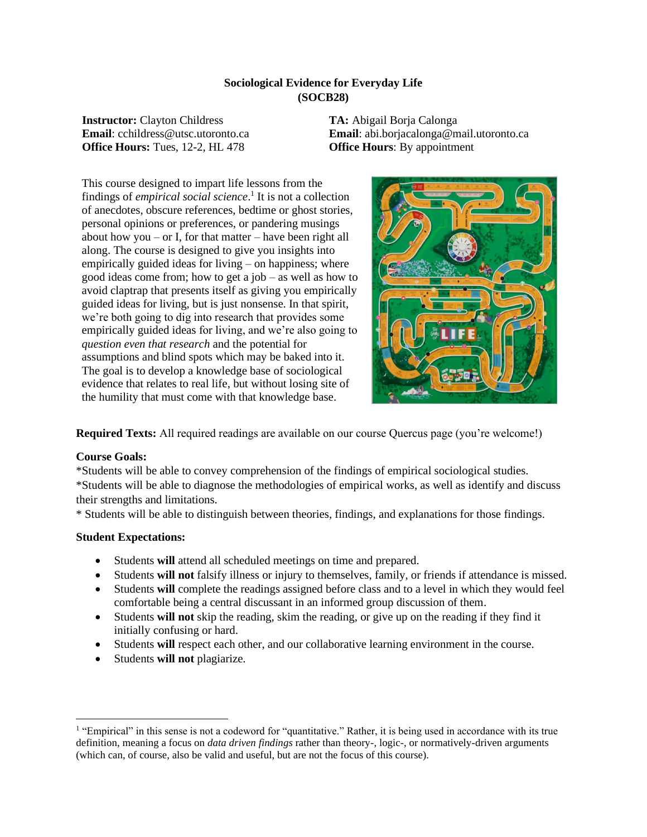## **Sociological Evidence for Everyday Life (SOCB28)**

**Instructor:** Clayton Childress **Email**: cchildress@utsc.utoronto.ca **Office Hours:** Tues, 12-2, HL 478

**TA:** Abigail Borja Calonga **Email**: abi.borjacalonga@mail.utoronto.ca **Office Hours**: By appointment

This course designed to impart life lessons from the findings of *empirical social science*. 1 It is not a collection of anecdotes, obscure references, bedtime or ghost stories, personal opinions or preferences, or pandering musings about how you – or I, for that matter – have been right all along. The course is designed to give you insights into empirically guided ideas for living – on happiness; where good ideas come from; how to get a job – as well as how to avoid claptrap that presents itself as giving you empirically guided ideas for living, but is just nonsense. In that spirit, we're both going to dig into research that provides some empirically guided ideas for living, and we're also going to *question even that research* and the potential for assumptions and blind spots which may be baked into it. The goal is to develop a knowledge base of sociological evidence that relates to real life, but without losing site of the humility that must come with that knowledge base.



**Required Texts:** All required readings are available on our course Quercus page (you're welcome!)

### **Course Goals:**

\*Students will be able to convey comprehension of the findings of empirical sociological studies. \*Students will be able to diagnose the methodologies of empirical works, as well as identify and discuss their strengths and limitations.

\* Students will be able to distinguish between theories, findings, and explanations for those findings.

### **Student Expectations:**

- Students **will** attend all scheduled meetings on time and prepared.
- Students **will not** falsify illness or injury to themselves, family, or friends if attendance is missed.
- Students **will** complete the readings assigned before class and to a level in which they would feel comfortable being a central discussant in an informed group discussion of them.
- Students **will not** skip the reading, skim the reading, or give up on the reading if they find it initially confusing or hard.
- Students **will** respect each other, and our collaborative learning environment in the course.
- Students **will not** plagiarize.

<sup>&</sup>lt;sup>1</sup> "Empirical" in this sense is not a codeword for "quantitative." Rather, it is being used in accordance with its true definition, meaning a focus on *data driven findings* rather than theory-, logic-, or normatively-driven arguments (which can, of course, also be valid and useful, but are not the focus of this course).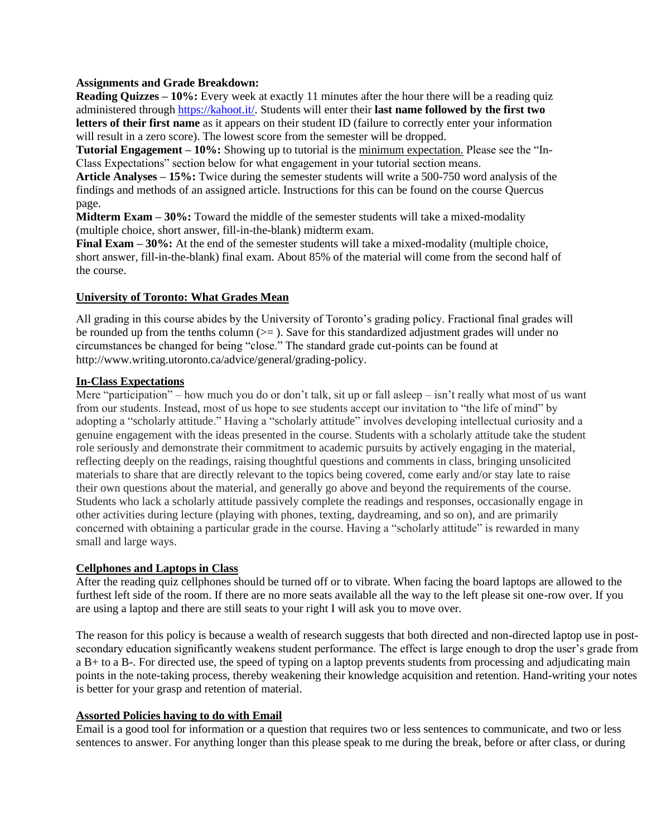### **Assignments and Grade Breakdown:**

**Reading Quizzes – 10%:** Every week at exactly 11 minutes after the hour there will be a reading quiz administered through [https://kahoot.it/.](https://kahoot.it/) Students will enter their **last name followed by the first two letters of their first name** as it appears on their student ID (failure to correctly enter your information will result in a zero score). The lowest score from the semester will be dropped.

**Tutorial Engagement – 10%:** Showing up to tutorial is the minimum expectation. Please see the "In-Class Expectations" section below for what engagement in your tutorial section means.

**Article Analyses – 15%:** Twice during the semester students will write a 500-750 word analysis of the findings and methods of an assigned article. Instructions for this can be found on the course Quercus page.

**Midterm Exam – 30%:** Toward the middle of the semester students will take a mixed-modality (multiple choice, short answer, fill-in-the-blank) midterm exam.

**Final Exam – 30%:** At the end of the semester students will take a mixed-modality (multiple choice, short answer, fill-in-the-blank) final exam. About 85% of the material will come from the second half of the course.

### **University of Toronto: What Grades Mean**

All grading in this course abides by the University of Toronto's grading policy. Fractional final grades will be rounded up from the tenths column  $(>=)$ . Save for this standardized adjustment grades will under no circumstances be changed for being "close." The standard grade cut-points can be found at http://www.writing.utoronto.ca/advice/general/grading-policy.

### **In-Class Expectations**

Mere "participation" – how much you do or don't talk, sit up or fall asleep – isn't really what most of us want from our students. Instead, most of us hope to see students accept our invitation to "the life of mind" by adopting a "scholarly attitude." Having a "scholarly attitude" involves developing intellectual curiosity and a genuine engagement with the ideas presented in the course. Students with a scholarly attitude take the student role seriously and demonstrate their commitment to academic pursuits by actively engaging in the material, reflecting deeply on the readings, raising thoughtful questions and comments in class, bringing unsolicited materials to share that are directly relevant to the topics being covered, come early and/or stay late to raise their own questions about the material, and generally go above and beyond the requirements of the course. Students who lack a scholarly attitude passively complete the readings and responses, occasionally engage in other activities during lecture (playing with phones, texting, daydreaming, and so on), and are primarily concerned with obtaining a particular grade in the course. Having a "scholarly attitude" is rewarded in many small and large ways.

#### **Cellphones and Laptops in Class**

After the reading quiz cellphones should be turned off or to vibrate. When facing the board laptops are allowed to the furthest left side of the room. If there are no more seats available all the way to the left please sit one-row over. If you are using a laptop and there are still seats to your right I will ask you to move over.

The reason for this policy is because a wealth of research suggests that both directed and non-directed laptop use in postsecondary education significantly weakens student performance. The effect is large enough to drop the user's grade from a B+ to a B-. For directed use, the speed of typing on a laptop prevents students from processing and adjudicating main points in the note-taking process, thereby weakening their knowledge acquisition and retention. Hand-writing your notes is better for your grasp and retention of material.

## **Assorted Policies having to do with Email**

Email is a good tool for information or a question that requires two or less sentences to communicate, and two or less sentences to answer. For anything longer than this please speak to me during the break, before or after class, or during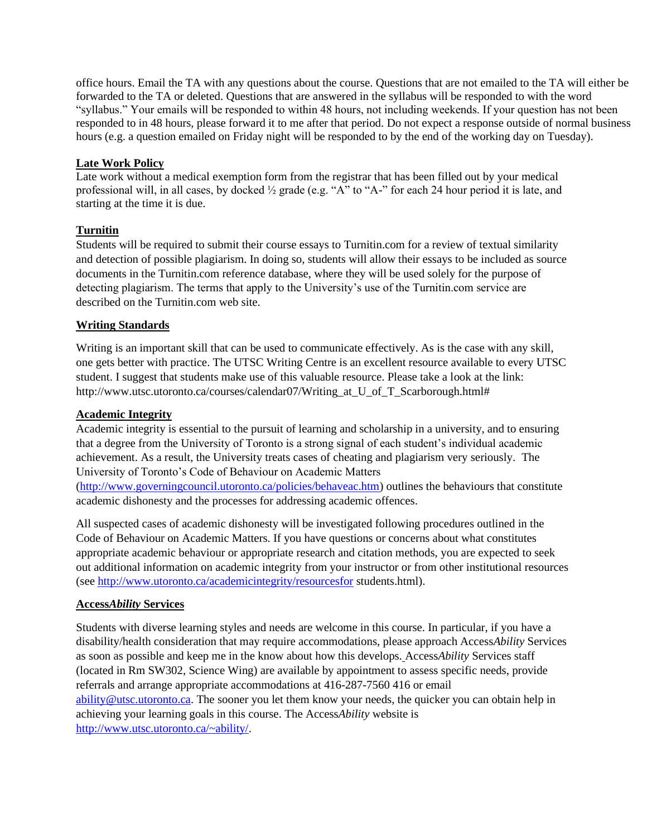office hours. Email the TA with any questions about the course. Questions that are not emailed to the TA will either be forwarded to the TA or deleted. Questions that are answered in the syllabus will be responded to with the word "syllabus." Your emails will be responded to within 48 hours, not including weekends. If your question has not been responded to in 48 hours, please forward it to me after that period. Do not expect a response outside of normal business hours (e.g. a question emailed on Friday night will be responded to by the end of the working day on Tuesday).

## **Late Work Policy**

Late work without a medical exemption form from the registrar that has been filled out by your medical professional will, in all cases, by docked ½ grade (e.g. "A" to "A-" for each 24 hour period it is late, and starting at the time it is due.

# **Turnitin**

Students will be required to submit their course essays to Turnitin.com for a review of textual similarity and detection of possible plagiarism. In doing so, students will allow their essays to be included as source documents in the Turnitin.com reference database, where they will be used solely for the purpose of detecting plagiarism. The terms that apply to the University's use of the Turnitin.com service are described on the Turnitin.com web site.

# **Writing Standards**

Writing is an important skill that can be used to communicate effectively. As is the case with any skill, one gets better with practice. The UTSC Writing Centre is an excellent resource available to every UTSC student. I suggest that students make use of this valuable resource. Please take a look at the link: http://www.utsc.utoronto.ca/courses/calendar07/Writing\_at\_U\_of\_T\_Scarborough.html#

# **Academic Integrity**

Academic integrity is essential to the pursuit of learning and scholarship in a university, and to ensuring that a degree from the University of Toronto is a strong signal of each student's individual academic achievement. As a result, the University treats cases of cheating and plagiarism very seriously. The University of Toronto's Code of Behaviour on Academic Matters [\(http://www.governingcouncil.utoronto.ca/policies/behaveac.htm\)](http://www.governingcouncil.utoronto.ca/policies/behaveac.htm) outlines the behaviours that constitute academic dishonesty and the processes for addressing academic offences.

All suspected cases of academic dishonesty will be investigated following procedures outlined in the Code of Behaviour on Academic Matters. If you have questions or concerns about what constitutes appropriate academic behaviour or appropriate research and citation methods, you are expected to seek out additional information on academic integrity from your instructor or from other institutional resources (see<http://www.utoronto.ca/academicintegrity/resourcesfor> students.html).

# **Access***Ability* **Services**

Students with diverse learning styles and needs are welcome in this course. In particular, if you have a disability/health consideration that may require accommodations, please approach Access*Ability* Services as soon as possible and keep me in the know about how this develops. Access*Ability* Services staff (located in Rm SW302, Science Wing) are available by appointment to assess specific needs, provide referrals and arrange appropriate accommodations at 416-287-7560 416 or email [ability@utsc.utoronto.ca.](mailto:ability@utsc.utoronto.ca) The sooner you let them know your needs, the quicker you can obtain help in achieving your learning goals in this course. The Access*Ability* website is [http://www.utsc.utoronto.ca/~ability/.](http://www.utsc.utoronto.ca/~ability/)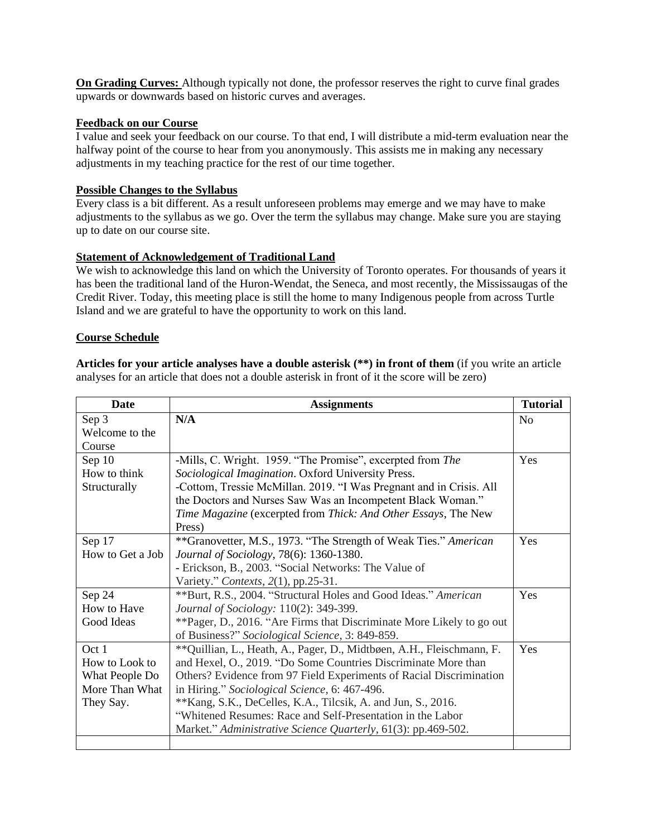**On Grading Curves:** Although typically not done, the professor reserves the right to curve final grades upwards or downwards based on historic curves and averages.

## **Feedback on our Course**

I value and seek your feedback on our course. To that end, I will distribute a mid-term evaluation near the halfway point of the course to hear from you anonymously. This assists me in making any necessary adjustments in my teaching practice for the rest of our time together.

### **Possible Changes to the Syllabus**

Every class is a bit different. As a result unforeseen problems may emerge and we may have to make adjustments to the syllabus as we go. Over the term the syllabus may change. Make sure you are staying up to date on our course site.

### **Statement of Acknowledgement of Traditional Land**

We wish to acknowledge this land on which the University of Toronto operates. For thousands of years it has been the traditional land of the Huron-Wendat, the Seneca, and most recently, the Mississaugas of the Credit River. Today, this meeting place is still the home to many Indigenous people from across Turtle Island and we are grateful to have the opportunity to work on this land.

### **Course Schedule**

**Articles for your article analyses have a double asterisk (\*\*) in front of them** (if you write an article analyses for an article that does not a double asterisk in front of it the score will be zero)

| <b>Date</b>      | <b>Assignments</b>                                                     | <b>Tutorial</b> |
|------------------|------------------------------------------------------------------------|-----------------|
| Sep 3            | N/A                                                                    | N <sub>0</sub>  |
| Welcome to the   |                                                                        |                 |
| Course           |                                                                        |                 |
| Sep $10$         | -Mills, C. Wright. 1959. "The Promise", excerpted from The             | Yes             |
| How to think     | Sociological Imagination. Oxford University Press.                     |                 |
| Structurally     | -Cottom, Tressie McMillan. 2019. "I Was Pregnant and in Crisis. All    |                 |
|                  | the Doctors and Nurses Saw Was an Incompetent Black Woman."            |                 |
|                  | Time Magazine (excerpted from Thick: And Other Essays, The New         |                 |
|                  | Press)                                                                 |                 |
| Sep 17           | **Granovetter, M.S., 1973. "The Strength of Weak Ties." American       | Yes             |
| How to Get a Job | Journal of Sociology, 78(6): 1360-1380.                                |                 |
|                  | - Erickson, B., 2003. "Social Networks: The Value of                   |                 |
|                  | Variety." Contexts, 2(1), pp.25-31.                                    |                 |
| Sep 24           | **Burt, R.S., 2004. "Structural Holes and Good Ideas." American        | Yes             |
| How to Have      | Journal of Sociology: 110(2): 349-399.                                 |                 |
| Good Ideas       | **Pager, D., 2016. "Are Firms that Discriminate More Likely to go out  |                 |
|                  | of Business?" Sociological Science, 3: 849-859.                        |                 |
| Oct 1            | ** Quillian, L., Heath, A., Pager, D., Midtbøen, A.H., Fleischmann, F. | Yes             |
| How to Look to   | and Hexel, O., 2019. "Do Some Countries Discriminate More than         |                 |
| What People Do   | Others? Evidence from 97 Field Experiments of Racial Discrimination    |                 |
| More Than What   | in Hiring." Sociological Science, 6: 467-496.                          |                 |
| They Say.        | **Kang, S.K., DeCelles, K.A., Tilcsik, A. and Jun, S., 2016.           |                 |
|                  | "Whitened Resumes: Race and Self-Presentation in the Labor             |                 |
|                  | Market." Administrative Science Quarterly, 61(3): pp.469-502.          |                 |
|                  |                                                                        |                 |